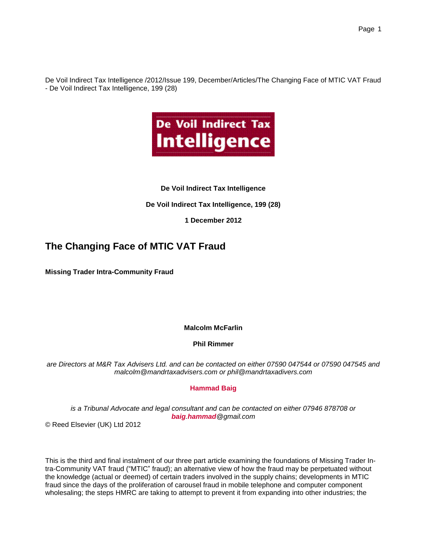De Voil Indirect Tax Intelligence /2012/Issue 199, December/Articles/The Changing Face of MTIC VAT Fraud - De Voil Indirect Tax Intelligence, 199 (28)



### **De Voil Indirect Tax Intelligence**

### **De Voil Indirect Tax Intelligence, 199 (28)**

### **1 December 2012**

## **The Changing Face of MTIC VAT Fraud**

**Missing Trader Intra-Community Fraud**

### **Malcolm McFarlin**

### **Phil Rimmer**

*are Directors at M&R Tax Advisers Ltd. and can be contacted on either 07590 047544 or 07590 047545 and malcolm@mandrtaxadvisers.com or phil@mandrtaxadivers.com*

### **Hammad Baig**

*is a Tribunal Advocate and legal consultant and can be contacted on either 07946 878708 or baig.hammad@gmail.com*

© Reed Elsevier (UK) Ltd 2012

This is the third and final instalment of our three part article examining the foundations of Missing Trader Intra-Community VAT fraud ("MTIC" fraud); an alternative view of how the fraud may be perpetuated without the knowledge (actual or deemed) of certain traders involved in the supply chains; developments in MTIC fraud since the days of the proliferation of carousel fraud in mobile telephone and computer component wholesaling; the steps HMRC are taking to attempt to prevent it from expanding into other industries; the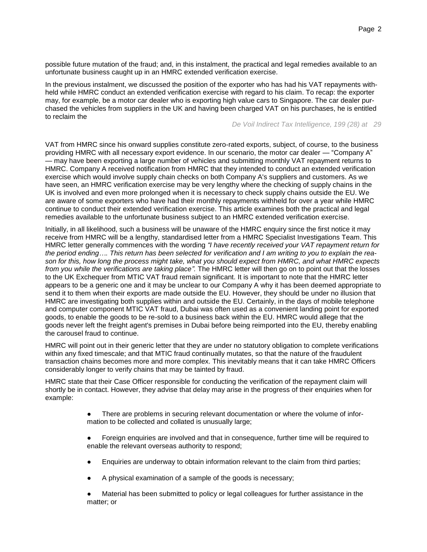possible future mutation of the fraud; and, in this instalment, the practical and legal remedies available to an unfortunate business caught up in an HMRC extended verification exercise.

In the previous instalment, we discussed the position of the exporter who has had his VAT repayments withheld while HMRC conduct an extended verification exercise with regard to his claim. To recap: the exporter may, for example, be a motor car dealer who is exporting high value cars to Singapore. The car dealer purchased the vehicles from suppliers in the UK and having been charged VAT on his purchases, he is entitled to reclaim the

*De Voil Indirect Tax Intelligence, 199 (28) at 29*

VAT from HMRC since his onward supplies constitute zero-rated exports, subject, of course, to the business providing HMRC with all necessary export evidence. In our scenario, the motor car dealer — "Company A" — may have been exporting a large number of vehicles and submitting monthly VAT repayment returns to HMRC. Company A received notification from HMRC that they intended to conduct an extended verification exercise which would involve supply chain checks on both Company A's suppliers and customers. As we have seen, an HMRC verification exercise may be very lengthy where the checking of supply chains in the UK is involved and even more prolonged when it is necessary to check supply chains outside the EU. We are aware of some exporters who have had their monthly repayments withheld for over a year while HMRC continue to conduct their extended verification exercise. This article examines both the practical and legal remedies available to the unfortunate business subject to an HMRC extended verification exercise.

Initially, in all likelihood, such a business will be unaware of the HMRC enquiry since the first notice it may receive from HMRC will be a lengthy, standardised letter from a HMRC Specialist Investigations Team. This HMRC letter generally commences with the wording *"I have recently received your VAT repayment return for the period ending…. This return has been selected for verification and I am writing to you to explain the reason for this, how long the process might take, what you should expect from HMRC, and what HMRC expects from you while the verifications are taking place".* The HMRC letter will then go on to point out that the losses to the UK Exchequer from MTIC VAT fraud remain significant. It is important to note that the HMRC letter appears to be a generic one and it may be unclear to our Company A why it has been deemed appropriate to send it to them when their exports are made outside the EU. However, they should be under no illusion that HMRC are investigating both supplies within and outside the EU. Certainly, in the days of mobile telephone and computer component MTIC VAT fraud, Dubai was often used as a convenient landing point for exported goods, to enable the goods to be re-sold to a business back within the EU. HMRC would allege that the goods never left the freight agent's premises in Dubai before being reimported into the EU, thereby enabling the carousel fraud to continue.

HMRC will point out in their generic letter that they are under no statutory obligation to complete verifications within any fixed timescale; and that MTIC fraud continually mutates, so that the nature of the fraudulent transaction chains becomes more and more complex. This inevitably means that it can take HMRC Officers considerably longer to verify chains that may be tainted by fraud.

HMRC state that their Case Officer responsible for conducting the verification of the repayment claim will shortly be in contact. However, they advise that delay may arise in the progress of their enquiries when for example:

- There are problems in securing relevant documentation or where the volume of information to be collected and collated is unusually large;
- Foreign enquiries are involved and that in consequence, further time will be required to enable the relevant overseas authority to respond;
- Enquiries are underway to obtain information relevant to the claim from third parties;
- A physical examination of a sample of the goods is necessary;
- Material has been submitted to policy or legal colleagues for further assistance in the matter; or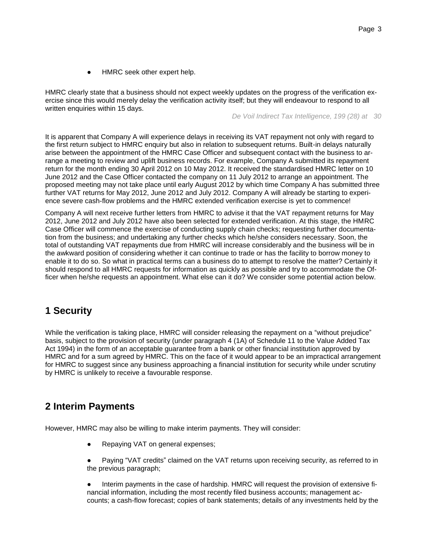HMRC seek other expert help.

HMRC clearly state that a business should not expect weekly updates on the progress of the verification exercise since this would merely delay the verification activity itself; but they will endeavour to respond to all written enquiries within 15 days.

*De Voil Indirect Tax Intelligence, 199 (28) at 30*

It is apparent that Company A will experience delays in receiving its VAT repayment not only with regard to the first return subject to HMRC enquiry but also in relation to subsequent returns. Built-in delays naturally arise between the appointment of the HMRC Case Officer and subsequent contact with the business to arrange a meeting to review and uplift business records. For example, Company A submitted its repayment return for the month ending 30 April 2012 on 10 May 2012. It received the standardised HMRC letter on 10 June 2012 and the Case Officer contacted the company on 11 July 2012 to arrange an appointment. The proposed meeting may not take place until early August 2012 by which time Company A has submitted three further VAT returns for May 2012, June 2012 and July 2012. Company A will already be starting to experience severe cash-flow problems and the HMRC extended verification exercise is yet to commence!

Company A will next receive further letters from HMRC to advise it that the VAT repayment returns for May 2012, June 2012 and July 2012 have also been selected for extended verification. At this stage, the HMRC Case Officer will commence the exercise of conducting supply chain checks; requesting further documentation from the business; and undertaking any further checks which he/she considers necessary. Soon, the total of outstanding VAT repayments due from HMRC will increase considerably and the business will be in the awkward position of considering whether it can continue to trade or has the facility to borrow money to enable it to do so. So what in practical terms can a business do to attempt to resolve the matter? Certainly it should respond to all HMRC requests for information as quickly as possible and try to accommodate the Officer when he/she requests an appointment. What else can it do? We consider some potential action below.

## **1 Security**

While the verification is taking place, HMRC will consider releasing the repayment on a "without prejudice" basis, subject to the provision of security (under paragraph 4 (1A) of Schedule 11 to the Value Added Tax Act 1994) in the form of an acceptable guarantee from a bank or other financial institution approved by HMRC and for a sum agreed by HMRC. This on the face of it would appear to be an impractical arrangement for HMRC to suggest since any business approaching a financial institution for security while under scrutiny by HMRC is unlikely to receive a favourable response.

## **2 Interim Payments**

However, HMRC may also be willing to make interim payments. They will consider:

- Repaying VAT on general expenses;
- Paying "VAT credits" claimed on the VAT returns upon receiving security, as referred to in the previous paragraph;
- Interim payments in the case of hardship. HMRC will request the provision of extensive financial information, including the most recently filed business accounts; management accounts; a cash-flow forecast; copies of bank statements; details of any investments held by the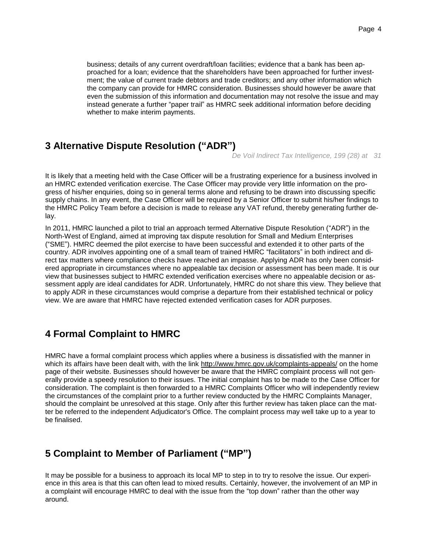business; details of any current overdraft/loan facilities; evidence that a bank has been approached for a loan; evidence that the shareholders have been approached for further investment; the value of current trade debtors and trade creditors; and any other information which the company can provide for HMRC consideration. Businesses should however be aware that even the submission of this information and documentation may not resolve the issue and may instead generate a further "paper trail" as HMRC seek additional information before deciding whether to make interim payments.

# **3 Alternative Dispute Resolution ("ADR")**

*De Voil Indirect Tax Intelligence, 199 (28) at 31*

It is likely that a meeting held with the Case Officer will be a frustrating experience for a business involved in an HMRC extended verification exercise. The Case Officer may provide very little information on the progress of his/her enquiries, doing so in general terms alone and refusing to be drawn into discussing specific supply chains. In any event, the Case Officer will be required by a Senior Officer to submit his/her findings to the HMRC Policy Team before a decision is made to release any VAT refund, thereby generating further delay.

In 2011, HMRC launched a pilot to trial an approach termed Alternative Dispute Resolution ("ADR") in the North-West of England, aimed at improving tax dispute resolution for Small and Medium Enterprises ("SME"). HMRC deemed the pilot exercise to have been successful and extended it to other parts of the country. ADR involves appointing one of a small team of trained HMRC "facilitators" in both indirect and direct tax matters where compliance checks have reached an impasse. Applying ADR has only been considered appropriate in circumstances where no appealable tax decision or assessment has been made. It is our view that businesses subject to HMRC extended verification exercises where no appealable decision or assessment apply are ideal candidates for ADR. Unfortunately, HMRC do not share this view. They believe that to apply ADR in these circumstances would comprise a departure from their established technical or policy view. We are aware that HMRC have rejected extended verification cases for ADR purposes.

## **4 Formal Complaint to HMRC**

HMRC have a formal complaint process which applies where a business is dissatisfied with the manner in which its affairs have been dealt with, with the link http://www.hmrc.gov.uk/complaints-appeals/ on the home page of their website. Businesses should however be aware that the HMRC complaint process will not generally provide a speedy resolution to their issues. The initial complaint has to be made to the Case Officer for consideration. The complaint is then forwarded to a HMRC Complaints Officer who will independently review the circumstances of the complaint prior to a further review conducted by the HMRC Complaints Manager, should the complaint be unresolved at this stage. Only after this further review has taken place can the matter be referred to the independent Adjudicator's Office. The complaint process may well take up to a year to be finalised.

## **5 Complaint to Member of Parliament ("MP")**

It may be possible for a business to approach its local MP to step in to try to resolve the issue. Our experience in this area is that this can often lead to mixed results. Certainly, however, the involvement of an MP in a complaint will encourage HMRC to deal with the issue from the "top down" rather than the other way around.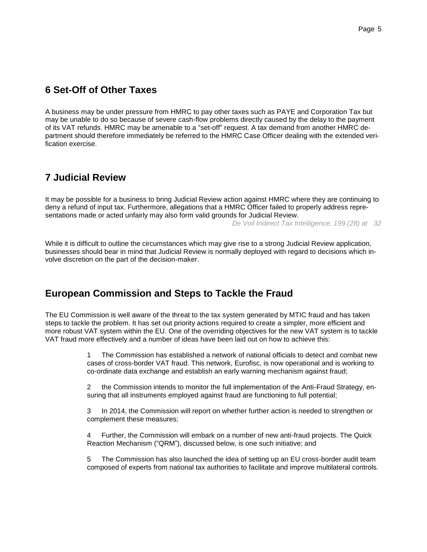# **6 Set-Off of Other Taxes**

A business may be under pressure from HMRC to pay other taxes such as PAYE and Corporation Tax but may be unable to do so because of severe cash-flow problems directly caused by the delay to the payment of its VAT refunds. HMRC may be amenable to a "set-off" request. A tax demand from another HMRC department should therefore immediately be referred to the HMRC Case Officer dealing with the extended verification exercise.

## **7 Judicial Review**

It may be possible for a business to bring Judicial Review action against HMRC where they are continuing to deny a refund of input tax. Furthermore, allegations that a HMRC Officer failed to properly address representations made or acted unfairly may also form valid grounds for Judicial Review.

*De Voil Indirect Tax Intelligence, 199 (28) at 32*

While it is difficult to outline the circumstances which may give rise to a strong Judicial Review application, businesses should bear in mind that Judicial Review is normally deployed with regard to decisions which involve discretion on the part of the decision-maker.

# **European Commission and Steps to Tackle the Fraud**

The EU Commission is well aware of the threat to the tax system generated by MTIC fraud and has taken steps to tackle the problem. It has set out priority actions required to create a simpler, more efficient and more robust VAT system within the EU. One of the overriding objectives for the new VAT system is to tackle VAT fraud more effectively and a number of ideas have been laid out on how to achieve this:

> 1 The Commission has established a network of national officials to detect and combat new cases of cross-border VAT fraud. This network, Eurofisc, is now operational and is working to co-ordinate data exchange and establish an early warning mechanism against fraud;

> 2 the Commission intends to monitor the full implementation of the Anti-Fraud Strategy, ensuring that all instruments employed against fraud are functioning to full potential;

3 In 2014, the Commission will report on whether further action is needed to strengthen or complement these measures;

4 Further, the Commission will embark on a number of new anti-fraud projects. The Quick Reaction Mechanism ("QRM"), discussed below, is one such initiative; and

5 The Commission has also launched the idea of setting up an EU cross-border audit team composed of experts from national tax authorities to facilitate and improve multilateral controls.